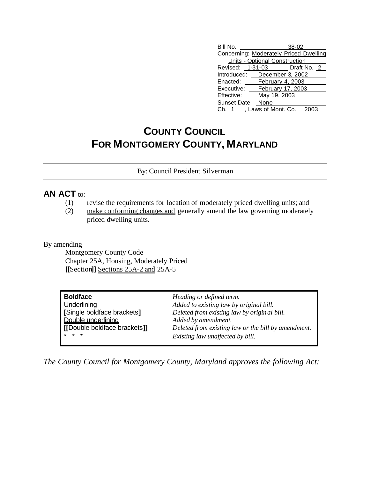| Bill No.                          |                                        | $38 - 02$ |  |  |
|-----------------------------------|----------------------------------------|-----------|--|--|
|                                   | Concerning: Moderately Priced Dwelling |           |  |  |
| Units - Optional Construction     |                                        |           |  |  |
| Revised: 1-31-03 Draft No. 2      |                                        |           |  |  |
| Introduced: December 3, 2002      |                                        |           |  |  |
| Enacted: February 4, 2003         |                                        |           |  |  |
| Executive: February 17, 2003      |                                        |           |  |  |
| Effective:                        | May 19, 2003                           |           |  |  |
| Sunset Date: None                 |                                        |           |  |  |
| Ch. 1 ___, Laws of Mont. Co. 2003 |                                        |           |  |  |

## **COUNTY COUNCIL FOR MONTGOMERY COUNTY, MARYLAND**

By: Council President Silverman

## **AN ACT** to:

- (1) revise the requirements for location of moderately priced dwelling units; and
- (2) make conforming changes and generally amend the law governing moderately priced dwelling units.

By amending

Montgomery County Code Chapter 25A, Housing, Moderately Priced **[[**Section**]]** Sections 25A-2 and 25A-5

| <b>Boldface</b>              | Heading or defined term.                            |  |
|------------------------------|-----------------------------------------------------|--|
| <b>Underlining</b>           | Added to existing law by original bill.             |  |
| Single boldface brackets]    | Deleted from existing law by original bill.         |  |
| Double underlining           | Added by amendment.                                 |  |
| [[Double boldface brackets]] | Deleted from existing law or the bill by amendment. |  |
| $* * *$                      | Existing law unaffected by bill.                    |  |

*The County Council for Montgomery County, Maryland approves the following Act:*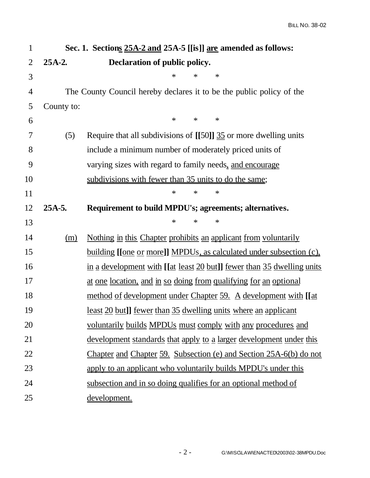| $\mathbf{1}$   | Sec. 1. Sections 25A-2 and 25A-5 [[is]] are amended as follows: |                                                                                |  |
|----------------|-----------------------------------------------------------------|--------------------------------------------------------------------------------|--|
| $\overline{2}$ | $25A-2.$                                                        | Declaration of public policy.                                                  |  |
| 3              |                                                                 | ∗<br>$\ast$<br>∗                                                               |  |
| $\overline{4}$ |                                                                 | The County Council hereby declares it to be the public policy of the           |  |
| 5              | County to:                                                      |                                                                                |  |
| 6              |                                                                 | $\ast$<br>$\ast$<br>$\ast$                                                     |  |
| 7              | (5)                                                             | Require that all subdivisions of $[[50]] \frac{35}{25}$ or more dwelling units |  |
| 8              |                                                                 | include a minimum number of moderately priced units of                         |  |
| 9              |                                                                 | varying sizes with regard to family needs, and encourage                       |  |
| 10             |                                                                 | subdivisions with fewer than 35 units to do the same;                          |  |
| 11             |                                                                 | $\ast$<br>$\ast$<br>∗                                                          |  |
| 12             | 25A-5.                                                          | Requirement to build MPDU's; agreements; alternatives.                         |  |
| 13             |                                                                 | $\ast$<br>$\ast$<br>∗                                                          |  |
| 14             | (m)                                                             | Nothing in this Chapter prohibits an applicant from voluntarily                |  |
| 15             |                                                                 | <u>building [[one or more]] MPDUs, as calculated under subsection (c).</u>     |  |
| 16             |                                                                 | in a development with [[at least 20 but]] fewer than 35 dwelling units         |  |
| 17             |                                                                 | at one location, and in so doing from qualifying for an optional               |  |
| 18             |                                                                 | method of development under Chapter 59. A development with [[at                |  |
| 19             |                                                                 | <u>least 20 but]] fewer than 35 dwelling units where an applicant</u>          |  |
| 20             |                                                                 | voluntarily builds MPDUs must comply with any procedures and                   |  |
| 21             |                                                                 | development standards that apply to a larger development under this            |  |
| 22             |                                                                 | Chapter and Chapter 59. Subsection (e) and Section 25A-6(b) do not             |  |
| 23             |                                                                 | apply to an applicant who voluntarily builds MPDU's under this                 |  |
| 24             |                                                                 | subsection and in so doing qualifies for an optional method of                 |  |
| 25             |                                                                 | development.                                                                   |  |